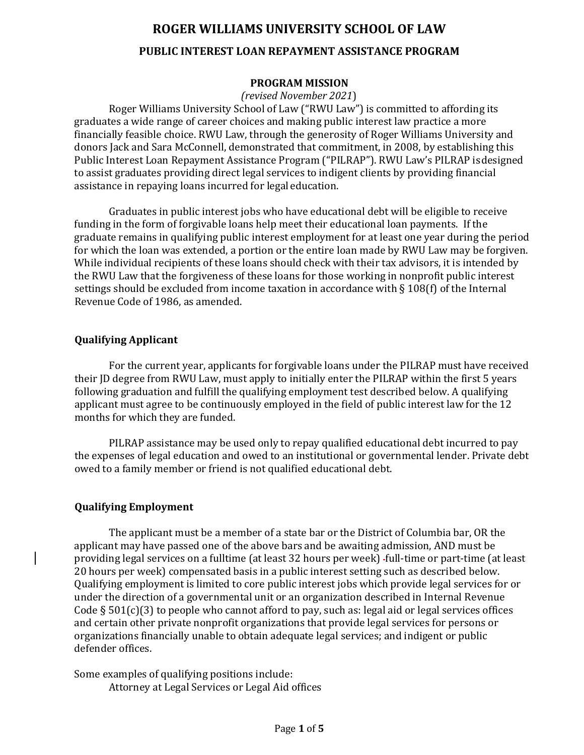# **ROGER WILLIAMS UNIVERSITY SCHOOL OF LAW PUBLIC INTEREST LOAN REPAYMENT ASSISTANCE PROGRAM**

## **PROGRAM MISSION**

#### *(revised November 2021*)

Roger Williams University School of Law ("RWU Law") is committed to affording its graduates a wide range of career choices and making public interest law practice a more financially feasible choice. RWU Law, through the generosity of Roger Williams University and donors Jack and Sara McConnell, demonstrated that commitment, in 2008, by establishing this Public Interest Loan Repayment Assistance Program ("PILRAP"). RWU Law's PILRAP isdesigned to assist graduates providing direct legal services to indigent clients by providing financial assistance in repaying loans incurred for legal education.

Graduates in public interest jobs who have educational debt will be eligible to receive funding in the form of forgivable loans help meet their educational loan payments. If the graduate remains in qualifying public interest employment for at least one year during the period for which the loan was extended, a portion or the entire loan made by RWU Law may be forgiven. While individual recipients of these loans should check with their tax advisors, it is intended by the RWU Law that the forgiveness of these loans for those working in nonprofit public interest settings should be excluded from income taxation in accordance with § 108(f) of the Internal Revenue Code of 1986, as amended.

#### **Qualifying Applicant**

For the current year, applicants for forgivable loans under the PILRAP must have received their JD degree from RWU Law, must apply to initially enter the PILRAP within the first 5 years following graduation and fulfill the qualifying employment test described below. A qualifying applicant must agree to be continuously employed in the field of public interest law for the 12 months for which they are funded.

PILRAP assistance may be used only to repay qualified educational debt incurred to pay the expenses of legal education and owed to an institutional or governmental lender. Private debt owed to a family member or friend is not qualified educational debt.

# **Qualifying Employment**

The applicant must be a member of a state bar or the District of Columbia bar, OR the applicant may have passed one of the above bars and be awaiting admission, AND must be providing legal services on a fulltime (at least 32 hours per week) full-time or part-time (at least 20 hours per week) compensated basis in a public interest setting such as described below. Qualifying employment is limited to core public interest jobs which provide legal services for or under the direction of a governmental unit or an organization described in Internal Revenue Code  $\S 501(c)(3)$  to people who cannot afford to pay, such as: legal aid or legal services offices and certain other private nonprofit organizations that provide legal services for persons or organizations financially unable to obtain adequate legal services; and indigent or public defender offices.

Some examples of qualifying positions include: Attorney at Legal Services or Legal Aid offices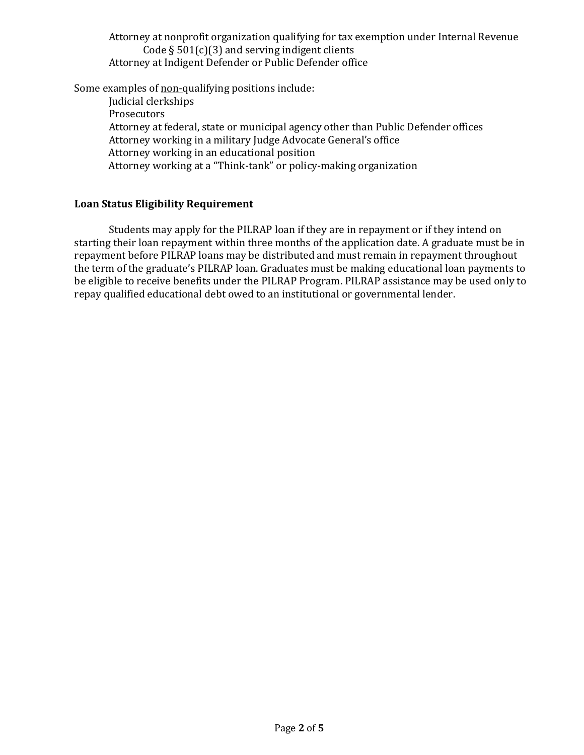Attorney at nonprofit organization qualifying for tax exemption under Internal Revenue Code  $\S 501(c)(3)$  and serving indigent clients Attorney at Indigent Defender or Public Defender office

Some examples of non-qualifying positions include:

Judicial clerkships Prosecutors Attorney at federal, state or municipal agency other than Public Defender offices Attorney working in a military Judge Advocate General's office Attorney working in an educational position Attorney working at a "Think-tank" or policy-making organization

# **Loan Status Eligibility Requirement**

Students may apply for the PILRAP loan if they are in repayment or if they intend on starting their loan repayment within three months of the application date. A graduate must be in repayment before PILRAP loans may be distributed and must remain in repayment throughout the term of the graduate's PILRAP loan. Graduates must be making educational loan payments to be eligible to receive benefits under the PILRAP Program. PILRAP assistance may be used only to repay qualified educational debt owed to an institutional or governmental lender.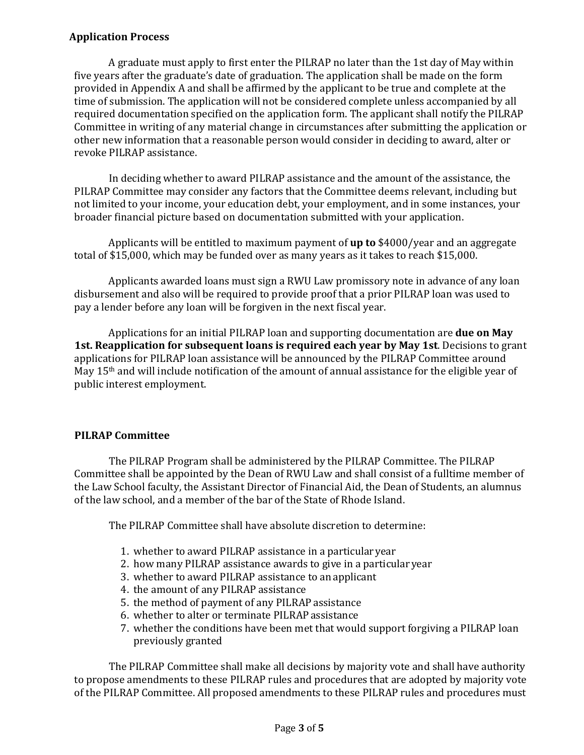# **Application Process**

A graduate must apply to first enter the PILRAP no later than the 1st day of May within five years after the graduate's date of graduation. The application shall be made on the form provided in Appendix A and shall be affirmed by the applicant to be true and complete at the time of submission. The application will not be considered complete unless accompanied by all required documentation specified on the application form. The applicant shall notify the PILRAP Committee in writing of any material change in circumstances after submitting the application or other new information that a reasonable person would consider in deciding to award, alter or revoke PILRAP assistance.

In deciding whether to award PILRAP assistance and the amount of the assistance, the PILRAP Committee may consider any factors that the Committee deems relevant, including but not limited to your income, your education debt, your employment, and in some instances, your broader financial picture based on documentation submitted with your application.

Applicants will be entitled to maximum payment of **up to** \$4000/year and an aggregate total of \$15,000, which may be funded over as many years as it takes to reach \$15,000.

Applicants awarded loans must sign a RWU Law promissory note in advance of any loan disbursement and also will be required to provide proof that a prior PILRAP loan was used to pay a lender before any loan will be forgiven in the next fiscal year.

Applications for an initial PILRAP loan and supporting documentation are **due on May 1st. Reapplication for subsequent loans is required each year by May 1st**. Decisions to grant applications for PILRAP loan assistance will be announced by the PILRAP Committee around May 15<sup>th</sup> and will include notification of the amount of annual assistance for the eligible year of public interest employment.

# **PILRAP Committee**

The PILRAP Program shall be administered by the PILRAP Committee. The PILRAP Committee shall be appointed by the Dean of RWU Law and shall consist of a fulltime member of the Law School faculty, the Assistant Director of Financial Aid, the Dean of Students, an alumnus of the law school, and a member of the bar of the State of Rhode Island.

The PILRAP Committee shall have absolute discretion to determine:

- 1. whether to award PILRAP assistance in a particularyear
- 2. how many PILRAP assistance awards to give in a particular year
- 3. whether to award PILRAP assistance to anapplicant
- 4. the amount of any PILRAP assistance
- 5. the method of payment of any PILRAP assistance
- 6. whether to alter or terminate PILRAP assistance
- 7. whether the conditions have been met that would support forgiving a PILRAP loan previously granted

The PILRAP Committee shall make all decisions by majority vote and shall have authority to propose amendments to these PILRAP rules and procedures that are adopted by majority vote of the PILRAP Committee. All proposed amendments to these PILRAP rules and procedures must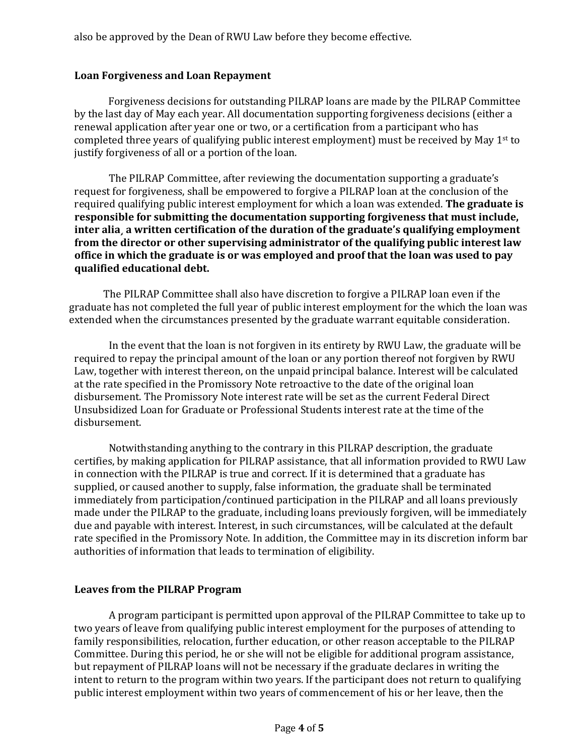also be approved by the Dean of RWU Law before they become effective.

### **Loan Forgiveness and Loan Repayment**

Forgiveness decisions for outstanding PILRAP loans are made by the PILRAP Committee by the last day of May each year. All documentation supporting forgiveness decisions (either a renewal application after year one or two, or a certification from a participant who has completed three years of qualifying public interest employment) must be received by May  $1<sup>st</sup>$  to justify forgiveness of all or a portion of the loan.

The PILRAP Committee, after reviewing the documentation supporting a graduate's request for forgiveness, shall be empowered to forgive a PILRAP loan at the conclusion of the required qualifying public interest employment for which a loan was extended. **The graduate is responsible for submitting the documentation supporting forgiveness that must include, inter alia¸ a written certification of the duration of the graduate's qualifying employment from the director or other supervising administrator of the qualifying public interest law office in which the graduate is or was employed and proof that the loan was used to pay qualified educational debt.** 

The PILRAP Committee shall also have discretion to forgive a PILRAP loan even if the graduate has not completed the full year of public interest employment for the which the loan was extended when the circumstances presented by the graduate warrant equitable consideration.

In the event that the loan is not forgiven in its entirety by RWU Law, the graduate will be required to repay the principal amount of the loan or any portion thereof not forgiven by RWU Law, together with interest thereon, on the unpaid principal balance. Interest will be calculated at the rate specified in the Promissory Note retroactive to the date of the original loan disbursement. The Promissory Note interest rate will be set as the current Federal Direct Unsubsidized Loan for Graduate or Professional Students interest rate at the time of the disbursement.

Notwithstanding anything to the contrary in this PILRAP description, the graduate certifies, by making application for PILRAP assistance, that all information provided to RWU Law in connection with the PILRAP is true and correct. If it is determined that a graduate has supplied, or caused another to supply, false information, the graduate shall be terminated immediately from participation/continued participation in the PILRAP and all loans previously made under the PILRAP to the graduate, including loans previously forgiven, will be immediately due and payable with interest. Interest, in such circumstances, will be calculated at the default rate specified in the Promissory Note. In addition, the Committee may in its discretion inform bar authorities of information that leads to termination of eligibility.

#### **Leaves from the PILRAP Program**

A program participant is permitted upon approval of the PILRAP Committee to take up to two years of leave from qualifying public interest employment for the purposes of attending to family responsibilities, relocation, further education, or other reason acceptable to the PILRAP Committee. During this period, he or she will not be eligible for additional program assistance, but repayment of PILRAP loans will not be necessary if the graduate declares in writing the intent to return to the program within two years. If the participant does not return to qualifying public interest employment within two years of commencement of his or her leave, then the